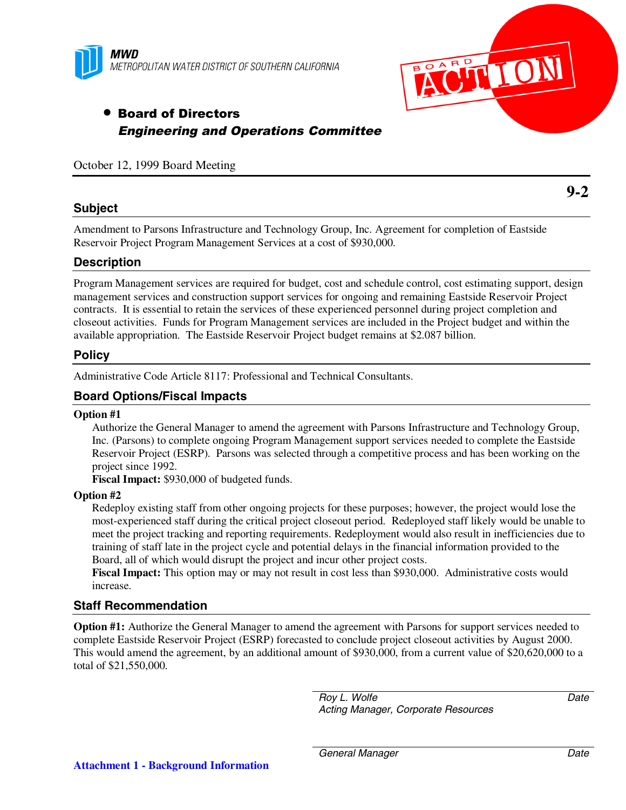



# • Board of Directors Engineering and Operations Committee

October 12, 1999 Board Meeting

# **Subject**

**9-2**

Amendment to Parsons Infrastructure and Technology Group, Inc. Agreement for completion of Eastside Reservoir Project Program Management Services at a cost of \$930,000.

# **Description**

Program Management services are required for budget, cost and schedule control, cost estimating support, design management services and construction support services for ongoing and remaining Eastside Reservoir Project contracts. It is essential to retain the services of these experienced personnel during project completion and closeout activities. Funds for Program Management services are included in the Project budget and within the available appropriation. The Eastside Reservoir Project budget remains at \$2.087 billion.

### **Policy**

Administrative Code Article 8117: Professional and Technical Consultants.

# **Board Options/Fiscal Impacts**

#### **Option #1**

Authorize the General Manager to amend the agreement with Parsons Infrastructure and Technology Group, Inc. (Parsons) to complete ongoing Program Management support services needed to complete the Eastside Reservoir Project (ESRP). Parsons was selected through a competitive process and has been working on the project since 1992.

**Fiscal Impact:** \$930,000 of budgeted funds.

#### **Option #2**

Redeploy existing staff from other ongoing projects for these purposes; however, the project would lose the most-experienced staff during the critical project closeout period. Redeployed staff likely would be unable to meet the project tracking and reporting requirements. Redeployment would also result in inefficiencies due to training of staff late in the project cycle and potential delays in the financial information provided to the Board, all of which would disrupt the project and incur other project costs.

**Fiscal Impact:** This option may or may not result in cost less than \$930,000. Administrative costs would increase.

#### **Staff Recommendation**

**Option #1:** Authorize the General Manager to amend the agreement with Parsons for support services needed to complete Eastside Reservoir Project (ESRP) forecasted to conclude project closeout activities by August 2000. This would amend the agreement, by an additional amount of \$930,000, from a current value of \$20,620,000 to a total of \$21,550,000.

> *Roy L. Wolfe Acting Manager, Corporate Resources*

*Date*